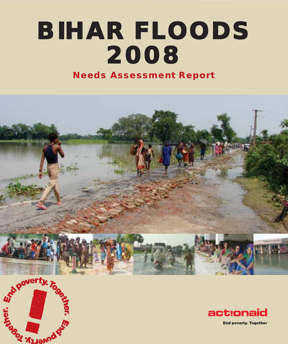# **BIHAR FLOODS BIHAR FLOODS 2008 Needs Assessment Report**





**End poverty. Together**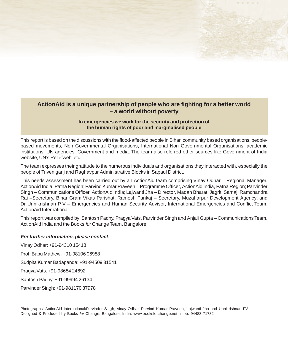## **ActionAid is a unique partnership of people who are fighting for a better world – a world without poverty**

 $1 + 1 + 1$ 

## **In emergencies we work for the security and protection of the human rights of poor and marginalised people**

This report is based on the discussions with the flood-affected people in Bihar, community based organisations, peoplebased movements, Non Governmental Organisations, International Non Governmental Organisations, academic institutions, UN agencies, Government and media. The team also referred other sources like Government of India website, UN's Reliefweb, etc.

The team expresses their gratitude to the numerous individuals and organisations they interacted with, especially the people of Triveniganj and Raghavpur Administrative Blocks in Sapaul District.

This needs assessment has been carried out by an ActionAid team comprising Vinay Odhar – Regional Manager, ActionAid India, Patna Region; Parvind Kumar Praveen – Programme Officer, ActionAid India, Patna Region; Parvinder Singh – Communications Officer, ActionAid India; Lajwanti Jha – Director, Madan Bharati Jagriti Samaj; Ramchandra Rai –Secretary, Bihar Gram Vikas Parishat; Ramesh Pankaj – Secretary, Muzaffarpur Development Agency; and Dr Unnikrishnan P V – Emergencies and Human Security Advisor, International Emergencies and Conflict Team, ActionAid International.

This report was compiled by: Santosh Padhy, Pragya Vats, Parvinder Singh and Anjali Gupta – Communications Team, ActionAid India and the Books for Change Team, Bangalore.

### **For further information, please contact:**

Vinay Odhar: +91-94310 15418 Prof. Babu Mathew: +91-98106 06988 Sudpita Kumar Badapanda: +91-94509 31541 Pragya Vats: +91-98684 24692 Santosh Padhy: +91-99994 26134 Parvinder Singh: +91-981170 37978

Photographs: ActionAid International/Parvinder Singh, Vinay Odhar, Parvind Kumar Praveen, Lajwanti Jha and Unnikrishnan PV Designed & Produced by Books for Change, Bangalore. India. www.booksforchange.net mob: 94483 71732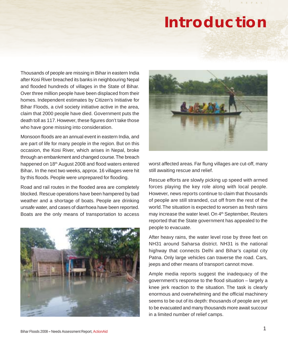## **Introduction**

Thousands of people are missing in Bihar in eastern India after Kosi River breached its banks in neighbouring Nepal and flooded hundreds of villages in the State of Bihar. Over three million people have been displaced from their homes. Independent estimates by Citizen's Initiative for Bihar Floods, a civil society initiative active in the area, claim that 2000 people have died. Government puts the death toll as 117. However, these figures don't take those who have gone missing into consideration.

Monsoon floods are an annual event in eastern India, and are part of life for many people in the region. But on this occasion, the Kosi River, which arises in Nepal, broke through an embankment and changed course. The breach happened on 18<sup>th</sup> August 2008 and flood waters entered Bihar**.** In the next two weeks, approx. 16 villages were hit by this floods. People were unprepared for flooding.

Road and rail routes in the flooded area are completely blocked. Rescue operations have been hampered by bad weather and a shortage of boats. People are drinking unsafe water, and cases of diarrhoea have been reported. Boats are the only means of transportation to access





worst affected areas. Far flung villages are cut-off, many still awaiting rescue and relief.

Rescue efforts are slowly picking up speed with armed forces playing the key role along with local people. However, news reports continue to claim that thousands of people are still stranded, cut off from the rest of the world. The situation is expected to worsen as fresh rains may increase the water level. On 4<sup>th</sup> September, Reuters reported that the State government has appealed to the people to evacuate.

After heavy rains, the water level rose by three feet on NH31 around Saharsa district. NH31 is the national highway that connects Delhi and Bihar's capital city Patna. Only large vehicles can traverse the road. Cars, jeeps and other means of transport cannot move.

Ample media reports suggest the inadequacy of the government's response to the flood situation – largely a knee jerk reaction to the situation. The task is clearly enormous and overwhelming and the official machinery seems to be out of its depth: thousands of people are yet to be evacuated and many thousands more await succour in a limited number of relief camps.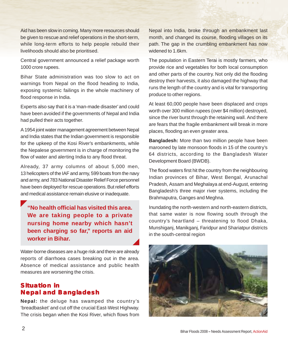Aid has been slow in coming. Many more resources should be given to rescue and relief operations in the short-term, while long-term efforts to help people rebuild their livelihoods should also be prioritised.

Central government announced a relief package worth 1000 crore rupees.

Bihar State administration was too slow to act on warnings from Nepal on the flood heading to India, exposing systemic failings in the whole machinery of flood response in India.

Experts also say that it is a 'man-made disaster' and could have been avoided if the governments of Nepal and India had pulled their acts together.

A 1954 joint water management agreement between Nepal and India states that the Indian government is responsible for the upkeep of the Kosi River's embankments, while the Nepalese government is in charge of monitoring the flow of water and alerting India to any flood threat.

Already, 37 army columns of about 5,000 men, 13 helicopters of the IAF and army, 599 boats from the navy and army, and 783 National Disaster Relief Force personnel have been deployed for rescue operations. But relief efforts and medical assistance remain elusive or inadequate.

**"No health official has visited this area. We are taking people to a private nursing home nearby which hasn't been charging so far," reports an aid worker in Bihar.**

Water-borne diseases are a huge risk and there are already reports of diarrhoea cases breaking out in the area. Absence of medical assistance and public health measures are worsening the crisis.

## **Situation in Nepal and Bangladesh**

**Nepal:** the deluge has swamped the country's 'breadbasket' and cut off the crucial East-West Highway. The crisis began when the Kosi River, which flows from Nepal into India, broke through an embankment last month, and changed its course, flooding villages on its path. The gap in the crumbling embankment has now widened to 1.6km.

 $\begin{array}{ccccccccc}\n\textbf{A} & \textbf{B} & \textbf{C} & \textbf{C} & \textbf{A} & \textbf{A} & \textbf{A}\n\end{array}$ 

The population in Eastern Terai is mostly farmers, who provide rice and vegetables for both local consumption and other parts of the country. Not only did the flooding destroy their harvests, it also damaged the highway that runs the length of the country and is vital for transporting produce to other regions.

At least 60,000 people have been displaced and crops worth over 300 million rupees (over \$4 million) destroyed, since the river burst through the retaining wall. And there are fears that the fragile embankment will break in more places, flooding an even greater area.

**Bangladesh:** More than two million people have been marooned by late monsoon floods in 15 of the country's 64 districts, according to the Bangladesh Water Development Board (BWDB).

The flood waters first hit the country from the neighbouring Indian provinces of Bihar, West Bengal, Arunachal Pradesh, Assam and Meghalaya at end-August, entering Bangladesh's three major river systems, including the Brahmaputra, Ganges and Meghna.

Inundating the north-western and north-eastern districts, that same water is now flowing south through the country's heartland – threatening to flood Dhaka, Munshiganj, Manikganj, Faridpur and Shariatpur districts in the south-central region

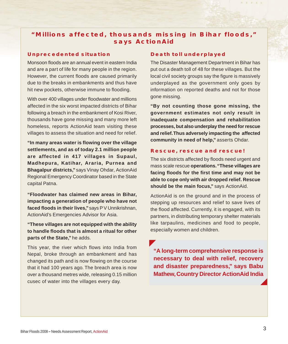## **"Millions affected, thousands missing in Bihar floods," says ActionAid**

## **Unprecedented situation**

Monsoon floods are an annual event in eastern India and are a part of life for many people in the region. However, the current floods are caused primarily due to the breaks in embankments and thus have hit new pockets, otherwise immune to flooding.

With over 400 villages under floodwater and millions affected in the six worst impacted districts of Bihar following a breach in the embankment of Kosi River, thousands have gone missing and many more left homeless, reports ActionAid team visiting these villages to assess the situation and need for relief.

**"In many areas water is flowing over the village settlements, and as of today 2.1 million people are affected in 417 villages in Supaul, Madhepura, Katihar, Araria, Purnea and Bhagalpur districts,"** says Vinay Ohdar, ActionAid Regional Emergency Coordinator based in the State capital Patna.

**"Floodwater has claimed new areas in Bihar, impacting a generation of people who have not faced floods in their lives,"** says P V Unnikrishnan, ActionAid's Emergencies Advisor for Asia.

**"These villages are not equipped with the ability to handle floods that is almost a ritual for other parts of the State,"** he adds.

This year, the river which flows into India from Nepal, broke through an embankment and has changed its path and is now flowing on the course that it had 100 years ago. The breach area is now over a thousand metres wide, releasing 0.15 million cusec of water into the villages every day.

## **Death toll underplayed**

The Disaster Management Department in Bihar has put out a death toll of 48 for these villages. But the local civil society groups say the figure is massively underplayed as the government only goes by information on reported deaths and not for those gone missing.

 $1 + 111$ 

**"By not counting those gone missing, the government estimates not only result in inadequate compensation and rehabilitation processes, but also underplay the need for rescue and relief. Thus adversely impacting the affected community in need of help,"** asserts Ohdar.

#### **Rescue, rescue and rescue!**

The six districts affected by floods need urgent and mass scale rescue **operations. "These villages are facing floods for the first time and may not be able to cope only with air dropped relief. Rescue should be the main focus,"** says ActionAid.

ActionAid is on the ground and in the process of stepping up resources and relief to save lives of the flood affected. Currently, it is engaged, with its partners, in distributing temporary shelter materials like tarpaulins, medicines and food to people, especially women and children.

**"A long-term comprehensive response is necessary to deal with relief, recovery and disaster preparedness," says Babu Mathew, Country Director ActionAid India**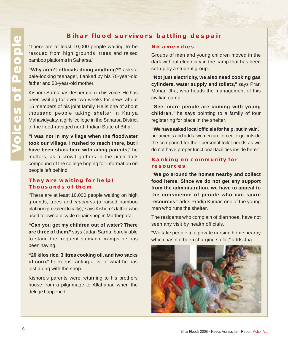## **Bihar flood survivors battling despair**

"There are at least 10,000 people waiting to be rescued from high grounds, trees and raised bamboo platforms in Saharsa."

**"Why aren't officials doing anything?"** asks a pale-looking teenager, flanked by his 70-year-old father and 50-year-old mother.

Kishore Sarna has desperation in his voice. He has been waiting for over two weeks for news about 15 members of his joint family. He is one of about thousand people taking shelter in Kanya Mahavidyalay, a girls' college in the Saharsa District of the flood-ravaged north Indian State of Bihar.

**"I was not in my village when the floodwater took our village. I rushed to reach there, but I have been stuck here with ailing parents,"** he mutters, as a crowd gathers in the pitch dark compound of the college hoping for information on people left behind.

## **They are waiting for help! Thousands of them**

"There are at least 10,000 people waiting on high grounds, trees and machans (a raised bamboo platform prevalent locally)," says Kishore's father who used to own a bicycle repair shop in Madhepura.

**"Can you get my children out of water? There are three of them,"** says Jadan Sarna, barely able to stand the frequent stomach cramps he has been having.

**"20 kilos rice, 3 litres cooking oil, and two sacks of corn,"** he keeps ranting a list of what he has lost along with the shop.

Kishore's parents were returning to his brothers house from a pilgrimage to Allahabad when the deluge happened.

#### **No amenities**

Groups of men and young children moved in the dark without electricity in the camp that has been set-up by a student group.

 $\begin{array}{ccccccccc}\n\textbf{A} & \textbf{B} & \textbf{C} & \textbf{C} & \textbf{A} & \textbf{A} & \textbf{A}\n\end{array}$ 

**"Not just electricity, we also need cooking gas cylinders, water supply and toilets,"** says Pran Mohan Jha, who heads the management of this civilian camp.

**"See, more people are coming with young children,"** he says pointing to a family of four registering for place in the shelter.

**"We have asked local officials for help, but in vain,"** he laments and adds "women are forced to go outside the compound for their personal toilet needs as we do not have proper functional facilities inside here."

## **Banking on community for resources**

**"We go around the homes nearby and collect food items. Since we do not get any support from the administration, we have to appeal to the conscience of people who can spare resources,"** adds Pradip Kumar, one of the young men who runs the shelter.

The residents who complain of diarrhoea, have not seen any visit by health officials.

"We take people to a private nursing home nearby which has not been charging so far," adds Jha.

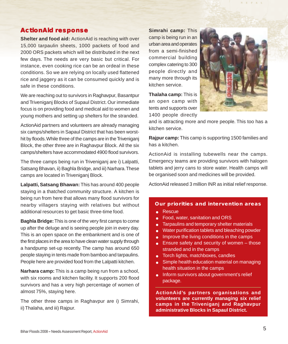## **ActionAid response**

**Shelter and food aid:** ActionAid is reaching with over 15,000 tarpaulin sheets, 1000 packets of food and 2000 ORS packets which will be distributed in the next few days. The needs are very basic but critical. For instance, even cooking rice can be an ordeal in these conditions. So we are relying on locally used flattened rice and jaggery as it can be consumed quickly and is safe in these conditions.

We are reaching out to survivors in Raghavpur, Basantpur and Triveniganj Blocks of Supaul District. Our immediate focus is on providing food and medical aid to women and young mothers and setting up shelters for the stranded.

ActionAid partners and volunteers are already managing six camps/shelters in Sapaul District that has been worsthit by floods. While three of the camps are in the Triveniganj Block, the other three are in Raghavpur Block. All the six camps/shelters have accommodated 4900 flood survivors.

The three camps being run in Triveniganj are i) Lalpatti, Satsang Bhavan, ii) Baghla Bridge, and iii) Narhara. These camps are located in Triveniganj Block.

**Lalpatti, Satsang Bhawan:** This has around 400 people staying in a thatched community structure. A kitchen is being run from here that allows many flood survivors for nearby villagers staying with relatives but without additional resources to get basic three-time food.

**Baghla Bridge:** This is one of the very first camps to come up after the deluge and is seeing people join in every day. This is an open space on the embankment and is one of the first places in the area to have clean water supply through a handpump set-up recently. The camp has around 650 people staying in tents made from bamboo and tarpaulins. People here are provided food from the Lalpatti kitchen.

**Narhara camp:** This is a camp being run from a school, with six rooms and kitchen facility. It supports 200 flood survivors and has a very high percentage of women of almost 75%, staying here.

The other three camps in Raghavpur are i) Simrahi, ii) Thalaha, and iii) Rajpur.

**Simrahi camp:** This camp is being run in an urban area and operates from a semi-finished commercial building complex catering to 300 people directly and many more through its kitchen service.

**Thalaha camp:** This is an open camp with tents and supports over 1400 people directly



 $1 + 1 + 1$ 

and is attracting more and more people. This too has a kitchen service.

**Rajpur camp:** This camp is supporting 1500 families and has a kitchen.

ActionAid is installing tubewells near the camps. Emergency teams are providing survivors with halogen tablets and jerry cans to store water. Health camps will be organised soon and medicines will be provided.

ActionAid released 3 million INR as initial relief response.

### **Our priorities and intervention areas**

- Rescue
- Food, water, sanitation and ORS
- Tarpaulins and temporary shelter materials
- Water purification tablets and bleaching powder
- Improve the living conditions in the camps
- $\bullet$  Ensure safety and security of women those stranded and in the camps
- Torch lights, matchboxes, candles
- **Simple health education material on managing** health situation in the camps
- **•** Inform survivors about government's relief package.

**ActionAid's partners organisations and volunteers are currently managing six relief camps in the Triveniganj and Raghavpur administrative Blocks in Sapaul District.**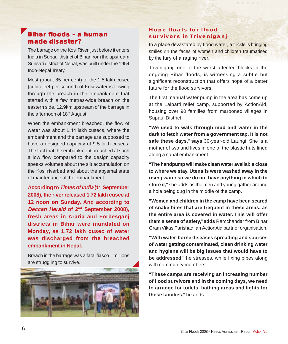## **Bihar floods – a human made disaster?**

The barrage on the Kosi River, just before it enters India in Supaul district of Bihar from the upstream Sunsari district of Nepal, was built under the 1954 Indo-Nepal Treaty.

Most (about 85 per cent) of the 1.5 lakh cusec (cubic feet per second) of Kosi water is flowing through the breach in the embankment that started with a few metres-wide breach on the eastern side, 12.9km upstream of the barrage in the afternoon of 18<sup>th</sup> August.

When the embankment breached, the flow of water was about 1.44 lakh cusecs, where the embankment and the barrage are supposed to have a designed capacity of 9.5 lakh cusecs. The fact that the embankment breached at such a low flow compared to the design capacity speaks volumes about the silt accumulation on the Kosi riverbed and about the abysmal state of maintenance of the embankment.

**According to Times of India (1st September 2008), the river released 1.72 lakh cusec at 12 noon on Sunday. And according to Deccan Herald of 2nd September 2008), fresh areas in Araria and Forbesganj districts in Bihar were inundated on Monday, as 1.72 lakh cusec of water was discharged from the breached embankment in Nepal.**

Breach in the barrage was a fatal fiasco – millions are struggling to survive.



## **Hope floats for flood survivors in Triveniganj**

In a place devastated by flood water, a trickle is bringing smiles on the faces of women and children traumatised by the fury of a raging river.

 $1 + 1 + 1$ 

Triveniganj, one of the worst affected blocks in the ongoing Bihar floods, is witnessing a subtle but significant reconstruction that offers hope of a better future for the flood survivors.

The first manual water pump in the area has come up at the Lalpatti relief camp, supported by ActionAid, housing over 90 families from marooned villages in Supaul District.

**"We used to walk through mud and water in the dark to fetch water from a government tap. It is not safe these days," says** 30-year-old Laungi. She is a mother of two and lives in one of the plastic huts lined along a canal embankment.

**"The handpump will make clean water available close to where we stay. Utensils were washed away in the rising water so we do not have anything in which to store it,"** she adds as the men and young gather around a hole being dug in the middle of the camp.

**"Women and children in the camp have been scared of snake bites that are frequent in these areas, as the entire area is covered in water. This will offer them a sense of safety," adds** Ramchandar from Bihar Gram Vikas Parishad, an ActionAid partner organisation.

**"With water-borne diseases spreading and sources of water getting contaminated, clean drinking water and hygiene will be big issues that would have to be addressed,"** he stresses, while fixing pipes along with community members.

**"These camps are receiving an increasing number of flood survivors and in the coming days, we need to arrange for toilets, bathing areas and lights for these families,"** he adds.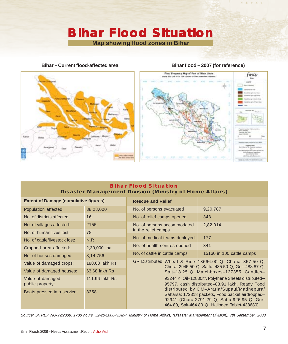## **Bihar Flood Situation Bihar Flood Situation Map showing flood zones in Bihar**

**Bihar – Current flood-affected area**

## **Bihar flood – 2007 (for reference)**

 $A + C + A + C$ 





## **Bihar Flood Situation Disaster Management Division (Ministry of Home Affairs)**

| <b>Extent of Damage (cumulative figures)</b> |                | <b>Rescue and Relief</b>                                                                                                                                                                                                                                                                                                                                                                                                                                              |                           |
|----------------------------------------------|----------------|-----------------------------------------------------------------------------------------------------------------------------------------------------------------------------------------------------------------------------------------------------------------------------------------------------------------------------------------------------------------------------------------------------------------------------------------------------------------------|---------------------------|
| Population affected:                         | 38,28,000      | No. of persons evacuated                                                                                                                                                                                                                                                                                                                                                                                                                                              | 9,20,787                  |
| No. of districts affected:                   | 16             | No. of relief camps opened                                                                                                                                                                                                                                                                                                                                                                                                                                            | 343                       |
| No. of villages affected:                    | 2155           | No. of persons accommodated<br>in the relief camps                                                                                                                                                                                                                                                                                                                                                                                                                    | 2,82,014                  |
| No. of human lives lost:                     | 78             |                                                                                                                                                                                                                                                                                                                                                                                                                                                                       |                           |
| No. of cattle/livestock lost:                | N.R            | No. of medical teams deployed:                                                                                                                                                                                                                                                                                                                                                                                                                                        | 177                       |
| Cropped area affected:                       | 2,30,000 ha    | No. of health centres opened                                                                                                                                                                                                                                                                                                                                                                                                                                          | 341                       |
| No. of houses damaged:                       | 3,14,756       | No. of cattle in cattle camps                                                                                                                                                                                                                                                                                                                                                                                                                                         | 15160 in 100 cattle camps |
| Value of damaged crops:                      | 188,68 lakh Rs | GR Distributed: Wheat & Rice-13666.00 Q, Chana-357.50 Q,<br>Chura-2945.50 Q, Sattu-435.50 Q, Gur-488.87 Q,<br>Salt-18.25 Q, Matchboxes-137355, Candles-<br>93244 K, Oil-12830ltr, Polythene Sheets distributed-<br>95797, cash distributed-83.91 lakh, Ready Food<br>distributed by DM-Araria/Supaul/Madhepura/<br>Saharsa: 172318 packets, Food packet airdropped-<br>92941 (Chura-2791.29 Q, Sattu-926.95 Q, Gur-<br>464.80, Salt-464.80 Q, Hallogen Tablet-438680) |                           |
| Value of damaged houses:                     | 63.68 lakh Rs  |                                                                                                                                                                                                                                                                                                                                                                                                                                                                       |                           |
| Value of damaged<br>public property:         | 111.96 lakh Rs |                                                                                                                                                                                                                                                                                                                                                                                                                                                                       |                           |
| Boats pressed into service:                  | 3358           |                                                                                                                                                                                                                                                                                                                                                                                                                                                                       |                           |

Source: SITREP NO-99/2008, 1700 hours, 32-20/2008-NDM-I, Ministry of Home Affairs, (Disaster Management Division), 7th September, 2008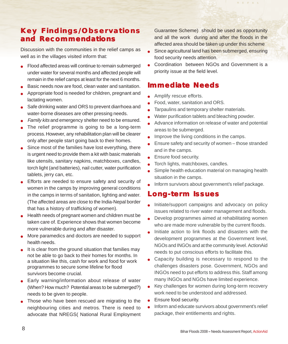## **Key Findings/Observations and Recommendations**

Discussion with the communities in the relief camps as well as in the villages visited inform that:

- Flood affected areas will continue to remain submerged under water for several months and affected people will remain in the relief camps at least for the next 6 months.
- Basic needs now are food, clean water and sanitation.
- Appropriate food is needed for children, pregnant and lactating women.
- Safe drinking water and ORS to prevent diarrhoea and water-borne diseases are other pressing needs.
- Family kits and emergency shelter need to be ensured.
- The relief programme is going to be a long-term process. However, any rehabilitation plan will be clearer only after people start going back to their homes.
- Since most of the families have lost everything, there is urgent need to provide them a kit with basic materials like utensils, sanitary napkins, matchboxes, candles, torch light (and batteries), nail cutter, water purification tablets, jerry can, etc.
- Efforts are needed to ensure safety and security of women in the camps by improving general conditions in the camps in terms of sanitation, lighting and water. (The affected areas are close to the India-Nepal border that has a history of trafficking of women).
- Health needs of pregnant women and children must be taken care of. Experience shows that women become more vulnerable during and after disaster.
- More paramedics and doctors are needed to support health needs.
- It is clear from the ground situation that families may not be able to go back to their homes for months. In a situation like this, cash for work and food for work programmes to secure some lifeline for flood survivors become crucial.
- Early warning/information about release of water (When? How much? Potential areas to be submerged?) needs to be given to people.
- Those who have been rescued are migrating to the neighbouring cities and metros. There is need to advocate that NREGS( National Rural Employment

Guarantee Scheme) should be used as opportunity and all the work during and after the floods in the affected area should be taken up under this scheme

 $\begin{array}{ccccccccc}\n\textbf{A} & \textbf{B} & \textbf{C} & \textbf{C} & \textbf{A} & \textbf{A} & \textbf{A}\n\end{array}$ 

- Since agricultural land has been submerged, ensuring food security needs attention.
- Coordination between NGOs and Government is a priority issue at the field level.

## **Immediate Needs**

- Amplify rescue efforts.
- Food, water, sanitation and ORS.
- Tarpaulins and temporary shelter materials.
- Water purification tablets and bleaching powder.
- Advance information on release of water and potential areas to be submerged.
- Improve the living conditions in the camps.
- Ensure safety and security of women those stranded and in the camps.
- Ensure food security.
- Torch lights, matchboxes, candles.
- Simple health education material on managing health situation in the camps.
- Inform survivors about government's relief package.

## **Long-term Issues**

- Initiate/support campaigns and advocacy on policy issues related to river water management and floods.
- Develop programmes aimed at rehabilitating women who are made more vulnerable by the current floods.
- Initiate action to link floods and disasters with the development programmes at the Government level, NGOs and INGOs and at the community level. ActionAid needs to put conscious efforts to facilitate this.
- Capacity building is necessary to respond to the challenges disasters pose. Government, NGOs and INGOs need to put efforts to address this. Staff among many INGOs and NGOs have limited experience.
- Key challenges for women during long-term recovery work need to be understood and addressed.
- **•** Ensure food security.
- Inform and educate survivors about government's relief package, their entitlements and rights.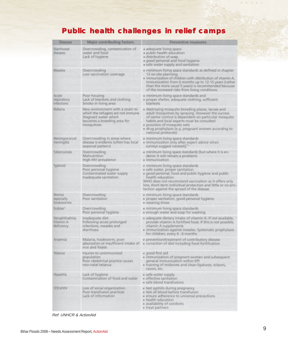## **Public health challenges in relief camps**

| Disense                                  | Major contributing factors                                                                                                                  | Preventive measures                                                                                                                                                                                                                                                                                                          |  |
|------------------------------------------|---------------------------------------------------------------------------------------------------------------------------------------------|------------------------------------------------------------------------------------------------------------------------------------------------------------------------------------------------------------------------------------------------------------------------------------------------------------------------------|--|
| Diarrhoeal<br>diseases                   | Overcrowding, contamination of<br>water and food<br>Lack of hygiene                                                                         | · adequate living space<br>· public health education<br>· distribution of scap<br>· good personal and food hygiene<br>· safe water supply and sanitation                                                                                                                                                                     |  |
| Measles                                  | Overcrowding<br>Low vaccination coverage                                                                                                    | · minimum living space standards as defined in chapter.<br>12 on site planning<br>· immunization of children with distribution of vitamin A.<br>Immunization from 6 months up to 12-15 years trather<br>than the more usual 5 years) is recommended because<br>of the increased risks from living conditions.                |  |
| Acute<br>respiratory<br>infections       | Poor housing<br>Lack of blankets and clothing<br>Smoke in living area                                                                       | · minimum living space standards and<br>· proper shelter, adequate clothing, sufficient<br>blankets                                                                                                                                                                                                                          |  |
| Malaria                                  | New environment with a strain to<br>which the refugees are not immune<br>Stagnant water which.<br>becomes a breeding area for<br>mosquitoes | · destroying mosquito breeding piaces, larvae and<br>adult mosquitoes by spraying. However the success<br>of vector control is dependent on particular mosquito<br>habits and local experts must be consulted<br>· provision of masquito nets<br>· drug prophylaxis (e.g. pregnant women according to<br>national protocols) |  |
| Meningocaccal<br>meningitis              | Overcrowding in areas where<br>disease is endemic (often has local<br>seasonal pattern)                                                     | · minimum living space standards<br>· immunization only after expert advice when<br>surveys suggest necessity                                                                                                                                                                                                                |  |
| <b>Tuberculosis</b>                      | Overcrowding<br>Malnutrition<br>High HIV prevalence                                                                                         | · minimum living space standards (but where it is en-<br>demic it will remain a problem)<br><i>Immunization</i>                                                                                                                                                                                                              |  |
| Typhoid                                  | Overcrowding<br>Poor personal hygiene<br>Contaminated water supply<br>Inadequate sanitation                                                 | · minimum living space standards<br>· safe water, proper sanitation<br>· good personal, food and public hygiene and public<br>health education<br>WHO does not recommend vaccination as it offers only<br>low, short-term individual protection and little or no pro-<br>tection against the spread of the disease           |  |
| Worres<br>especially<br>hooksynmis       | Overcrowding<br>Poor sanitation                                                                                                             | · minimum living space standards<br>· proper sanitation, good personal hygiene<br>· wearing shoes                                                                                                                                                                                                                            |  |
| Scabies*                                 | Overcrowding<br>Poor personal hygiene                                                                                                       | · minimum living space standards<br>· enough water and soap for washing                                                                                                                                                                                                                                                      |  |
| Xerophthalmia<br>Vitamin A<br>deficiency | Inadequate diet<br>Following acute prolonged<br>infections, measles and<br>diarrhoea                                                        | · adequate distary intake of vitamin A. If not available,<br>provide vitamin A fortified food. If this is not possible,<br>vitamin A supplements<br>· immunization against measies. Systematic prophylaxis<br>for children, every 4 - 6 months                                                                               |  |
| Anaemia                                  | Malaria, hookworm, poor<br>absorption or insufficient intake of<br>iron and folate                                                          | · prevention/treatment of contributory disease<br>· correction of diet including food fortification                                                                                                                                                                                                                          |  |
| Tetanus                                  | Injuries to unimmunized<br>population<br>Poor obstetrical practice causes<br>neo-natal tetanus                                              | · good first aid<br>· immunization of pregnant women and subsequent<br>general immunization within EPI<br>· training of midwives and clean ligatures, scasors,<br>razors, etc.                                                                                                                                               |  |
| <b>Hepatitis</b>                         | Lack of hygierve<br>Contamination of food and water                                                                                         | · safe water supply.<br>· effective sanitation.<br>· safe blood transfusions                                                                                                                                                                                                                                                 |  |
| <b>VIHWSTE</b>                           | Loss of social organization<br>Poor transfusion practices<br>Lack of information                                                            | · test syphilis during pregnancy<br>· test all blood before transfusion<br>· ensure adherence to universal precautions<br>· health education<br>· availability of condoms<br>· treat partners                                                                                                                                |  |

Ref: UNHCR & ActionAid

 $\label{eq:R1} \begin{array}{lllllllllllllllllllll} \textbf{R} & \textbf{R} & \textbf{R} & \textbf{R} \\ \textbf{R} & \textbf{R} & \textbf{R} & \textbf{R} & \textbf{R} \end{array}$